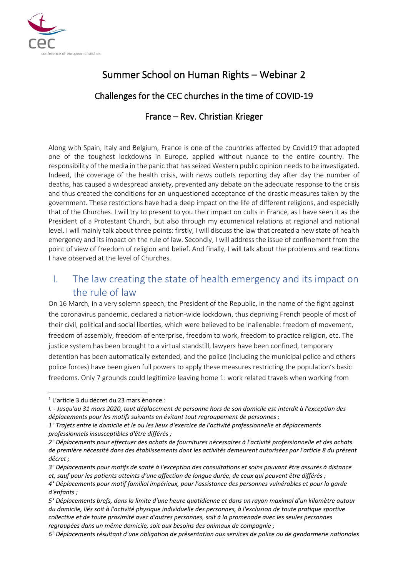

# Summer School on Human Rights – Webinar 2

### Challenges for the CEC churches in the time of COVID-19

### France – Rev. Christian Krieger

Along with Spain, Italy and Belgium, France is one of the countries affected by Covid19 that adopted one of the toughest lockdowns in Europe, applied without nuance to the entire country. The responsibility of the media in the panic that has seized Western public opinion needs to be investigated. Indeed, the coverage of the health crisis, with news outlets reporting day after day the number of deaths, has caused a widespread anxiety, prevented any debate on the adequate response to the crisis and thus created the conditions for an unquestioned acceptance of the drastic measures taken by the government. These restrictions have had a deep impact on the life of different religions, and especially that of the Churches. I will try to present to you their impact on cults in France, as I have seen it as the President of a Protestant Church, but also through my ecumenical relations at regional and national level. I will mainly talk about three points: firstly, I will discuss the law that created a new state of health emergency and its impact on the rule of law. Secondly, I will address the issue of confinement from the point of view of freedom of religion and belief. And finally, I will talk about the problems and reactions I have observed at the level of Churches.

## I. The law creating the state of health emergency and its impact on the rule of law

On 16 March, in a very solemn speech, the President of the Republic, in the name of the fight against the coronavirus pandemic, declared a nation-wide lockdown, thus depriving French people of most of their civil, political and social liberties, which were believed to be inalienable: freedom of movement, freedom of assembly, freedom of enterprise, freedom to work, freedom to practice religion, etc. The justice system has been brought to a virtual standstill, lawyers have been confined, temporary detention has been automatically extended, and the police (including the municipal police and others police forces) have been given full powers to apply these measures restricting the population's basic freedoms. Only 7 grounds could legitimize leaving home 1: work related travels when working from

*6° Déplacements résultant d'une obligation de présentation aux services de police ou de gendarmerie nationales* 

<sup>1</sup> L'article 3 du décret du 23 mars énonce :

*I. - Jusqu'au 31 mars 2020, tout déplacement de personne hors de son domicile est interdit à l'exception des déplacements pour les motifs suivants en évitant tout regroupement de personnes :*

*<sup>1°</sup> Trajets entre le domicile et le ou les lieux d'exercice de l'activité professionnelle et déplacements professionnels insusceptibles d'être différés ;*

*<sup>2°</sup> Déplacements pour effectuer des achats de fournitures nécessaires à l'activité professionnelle et des achats de première nécessité dans des établissements dont les activités demeurent autorisées par l'article 8 du présent décret ;*

*<sup>3°</sup> Déplacements pour motifs de santé à l'exception des consultations et soins pouvant être assurés à distance* 

*et, sauf pour les patients atteints d'une affection de longue durée, de ceux qui peuvent être différés ;*

*<sup>4°</sup> Déplacements pour motif familial impérieux, pour l'assistance des personnes vulnérables et pour la garde d'enfants ;*

*<sup>5°</sup> Déplacements brefs, dans la limite d'une heure quotidienne et dans un rayon maximal d'un kilomètre autour du domicile, liés soit à l'activité physique individuelle des personnes, à l'exclusion de toute pratique sportive collective et de toute proximité avec d'autres personnes, soit à la promenade avec les seules personnes regroupées dans un même domicile, soit aux besoins des animaux de compagnie ;*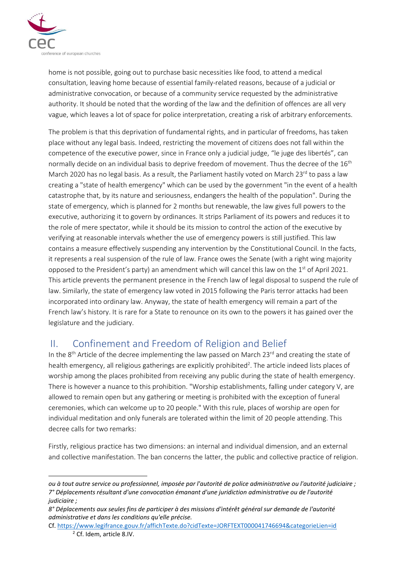

home is not possible, going out to purchase basic necessities like food, to attend a medical consultation, leaving home because of essential family-related reasons, because of a judicial or administrative convocation, or because of a community service requested by the administrative authority. It should be noted that the wording of the law and the definition of offences are all very vague, which leaves a lot of space for police interpretation, creating a risk of arbitrary enforcements.

The problem is that this deprivation of fundamental rights, and in particular of freedoms, has taken place without any legal basis. Indeed, restricting the movement of citizens does not fall within the competence of the executive power, since in France only a judicial judge, "le juge des libertés", can normally decide on an individual basis to deprive freedom of movement. Thus the decree of the 16<sup>th</sup> March 2020 has no legal basis. As a result, the Parliament hastily voted on March 23 $rd$  to pass a law creating a "state of health emergency" which can be used by the government "in the event of a health catastrophe that, by its nature and seriousness, endangers the health of the population". During the state of emergency, which is planned for 2 months but renewable, the law gives full powers to the executive, authorizing it to govern by ordinances. It strips Parliament of its powers and reduces it to the role of mere spectator, while it should be its mission to control the action of the executive by verifying at reasonable intervals whether the use of emergency powers is still justified. This law contains a measure effectively suspending any intervention by the Constitutional Council. In the facts, it represents a real suspension of the rule of law. France owes the Senate (with a right wing majority opposed to the President's party) an amendment which will cancel this law on the  $1<sup>st</sup>$  of April 2021. This article prevents the permanent presence in the French law of legal disposal to suspend the rule of law. Similarly, the state of emergency law voted in 2015 following the Paris terror attacks had been incorporated into ordinary law. Anyway, the state of health emergency will remain a part of the French law's history. It is rare for a State to renounce on its own to the powers it has gained over the legislature and the judiciary.

## II. Confinement and Freedom of Religion and Belief

In the 8<sup>th</sup> Article of the decree implementing the law passed on March 23<sup>rd</sup> and creating the state of health emergency, all religious gatherings are explicitly prohibited<sup>2</sup>. The article indeed lists places of worship among the places prohibited from receiving any public during the state of health emergency. There is however a nuance to this prohibition. "Worship establishments, falling under category V, are allowed to remain open but any gathering or meeting is prohibited with the exception of funeral ceremonies, which can welcome up to 20 people." With this rule, places of worship are open for individual meditation and only funerals are tolerated within the limit of 20 people attending. This decree calls for two remarks:

Firstly, religious practice has two dimensions: an internal and individual dimension, and an external and collective manifestation. The ban concerns the latter, the public and collective practice of religion.

*ou à tout autre service ou professionnel, imposée par l'autorité de police administrative ou l'autorité judiciaire ; 7° Déplacements résultant d'une convocation émanant d'une juridiction administrative ou de l'autorité judiciaire ;*

*<sup>8°</sup> Déplacements aux seules fins de participer à des missions d'intérêt général sur demande de l'autorité administrative et dans les conditions qu'elle précise.*

Cf.<https://www.legifrance.gouv.fr/affichTexte.do?cidTexte=JORFTEXT000041746694&categorieLien=id> <sup>2</sup> Cf. Idem, article 8.IV.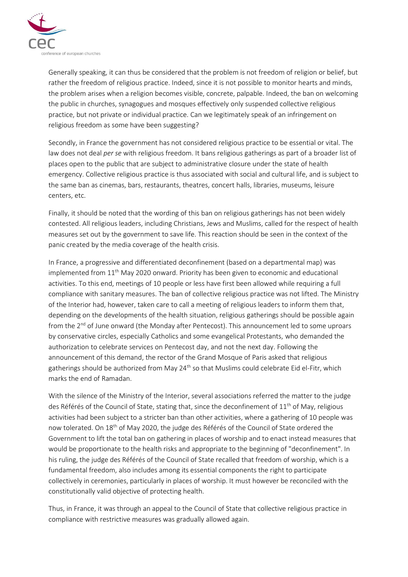

Generally speaking, it can thus be considered that the problem is not freedom of religion or belief, but rather the freedom of religious practice. Indeed, since it is not possible to monitor hearts and minds, the problem arises when a religion becomes visible, concrete, palpable. Indeed, the ban on welcoming the public in churches, synagogues and mosques effectively only suspended collective religious practice, but not private or individual practice. Can we legitimately speak of an infringement on religious freedom as some have been suggesting?

Secondly, in France the government has not considered religious practice to be essential or vital. The law does not deal *per se* with religious freedom. It bans religious gatherings as part of a broader list of places open to the public that are subject to administrative closure under the state of health emergency. Collective religious practice is thus associated with social and cultural life, and is subject to the same ban as cinemas, bars, restaurants, theatres, concert halls, libraries, museums, leisure centers, etc.

Finally, it should be noted that the wording of this ban on religious gatherings has not been widely contested. All religious leaders, including Christians, Jews and Muslims, called for the respect of health measures set out by the government to save life. This reaction should be seen in the context of the panic created by the media coverage of the health crisis.

In France, a progressive and differentiated deconfinement (based on a departmental map) was implemented from  $11<sup>th</sup>$  May 2020 onward. Priority has been given to economic and educational activities. To this end, meetings of 10 people or less have first been allowed while requiring a full compliance with sanitary measures. The ban of collective religious practice was not lifted. The Ministry of the Interior had, however, taken care to call a meeting of religious leaders to inform them that, depending on the developments of the health situation, religious gatherings should be possible again from the 2<sup>nd</sup> of June onward (the Monday after Pentecost). This announcement led to some uproars by conservative circles, especially Catholics and some evangelical Protestants, who demanded the authorization to celebrate services on Pentecost day, and not the next day. Following the announcement of this demand, the rector of the Grand Mosque of Paris asked that religious gatherings should be authorized from May 24<sup>th</sup> so that Muslims could celebrate Eid el-Fitr, which marks the end of Ramadan.

With the silence of the Ministry of the Interior, several associations referred the matter to the judge des Référés of the Council of State, stating that, since the deconfinement of  $11<sup>th</sup>$  of May, religious activities had been subject to a stricter ban than other activities, where a gathering of 10 people was now tolerated. On 18<sup>th</sup> of May 2020, the judge des Référés of the Council of State ordered the Government to lift the total ban on gathering in places of worship and to enact instead measures that would be proportionate to the health risks and appropriate to the beginning of "deconfinement". In his ruling, the judge des Référés of the Council of State recalled that freedom of worship, which is a fundamental freedom, also includes among its essential components the right to participate collectively in ceremonies, particularly in places of worship. It must however be reconciled with the constitutionally valid objective of protecting health.

Thus, in France, it was through an appeal to the Council of State that collective religious practice in compliance with restrictive measures was gradually allowed again.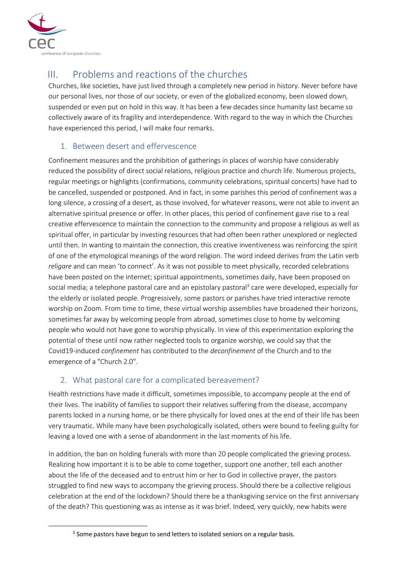

## III. Problems and reactions of the churches

Churches, like societies, have just lived through a completely new period in history. Never before have our personal lives, nor those of our society, or even of the globalized economy, been slowed down, suspended or even put on hold in this way. It has been a few decades since humanity last became so collectively aware of its fragility and interdependence. With regard to the way in which the Churches have experienced this period, I will make four remarks.

#### 1. Between desert and effervescence

Confinement measures and the prohibition of gatherings in places of worship have considerably reduced the possibility of direct social relations, religious practice and church life. Numerous projects, regular meetings or highlights (confirmations, community celebrations, spiritual concerts) have had to be cancelled, suspended or postponed. And in fact, in some parishes this period of confinement was a long silence, a crossing of a desert, as those involved, for whatever reasons, were not able to invent an alternative spiritual presence or offer. In other places, this period of confinement gave rise to a real creative effervescence to maintain the connection to the community and propose a religious as well as spiritual offer, in particular by investing resources that had often been rather unexplored or neglected until then. In wanting to maintain the connection, this creative inventiveness was reinforcing the spirit of one of the etymological meanings of the word religion. The word indeed derives from the Latin verb *religare* and can mean 'to connect'. As it was not possible to meet physically, recorded celebrations have been posted on the internet; spiritual appointments, sometimes daily, have been proposed on social media; a telephone pastoral care and an epistolary pastoral<sup>3</sup> care were developed, especially for the elderly or isolated people. Progressively, some pastors or parishes have tried interactive remote worship on Zoom. From time to time, these virtual worship assemblies have broadened their horizons, sometimes far away by welcoming people from abroad, sometimes close to home by welcoming people who would not have gone to worship physically. In view of this experimentation exploring the potential of these until now rather neglected tools to organize worship, we could say that the Covid19-induced *confinement* has contributed to the *deconfinement* of the Church and to the emergence of a "Church 2.0".

#### 2. What pastoral care for a complicated bereavement?

Health restrictions have made it difficult, sometimes impossible, to accompany people at the end of their lives. The inability of families to support their relatives suffering from the disease, accompany parents locked in a nursing home, or be there physically for loved ones at the end of their life has been very traumatic. While many have been psychologically isolated, others were bound to feeling guilty for leaving a loved one with a sense of abandonment in the last moments of his life.

In addition, the ban on holding funerals with more than 20 people complicated the grieving process. Realizing how important it is to be able to come together, support one another, tell each another about the life of the deceased and to entrust him or her to God in collective prayer, the pastors struggled to find new ways to accompany the grieving process. Should there be a collective religious celebration at the end of the lockdown? Should there be a thanksgiving service on the first anniversary of the death? This questioning was as intense as it was brief. Indeed, very quickly, new habits were

<sup>&</sup>lt;sup>3</sup> Some pastors have begun to send letters to isolated seniors on a regular basis.